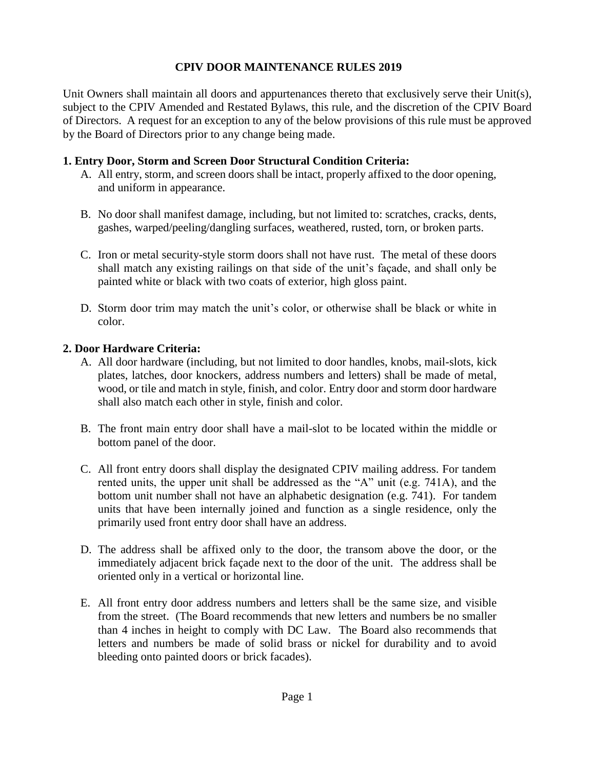## **CPIV DOOR MAINTENANCE RULES 2019**

Unit Owners shall maintain all doors and appurtenances thereto that exclusively serve their Unit(s), subject to the CPIV Amended and Restated Bylaws, this rule, and the discretion of the CPIV Board of Directors. A request for an exception to any of the below provisions of this rule must be approved by the Board of Directors prior to any change being made.

### **1. Entry Door, Storm and Screen Door Structural Condition Criteria:**

- A. All entry, storm, and screen doors shall be intact, properly affixed to the door opening, and uniform in appearance.
- B. No door shall manifest damage, including, but not limited to: scratches, cracks, dents, gashes, warped/peeling/dangling surfaces, weathered, rusted, torn, or broken parts.
- C. Iron or metal security-style storm doors shall not have rust. The metal of these doors shall match any existing railings on that side of the unit's façade, and shall only be painted white or black with two coats of exterior, high gloss paint.
- D. Storm door trim may match the unit's color, or otherwise shall be black or white in color.

## **2. Door Hardware Criteria:**

- A. All door hardware (including, but not limited to door handles, knobs, mail-slots, kick plates, latches, door knockers, address numbers and letters) shall be made of metal, wood, or tile and match in style, finish, and color. Entry door and storm door hardware shall also match each other in style, finish and color.
- B. The front main entry door shall have a mail-slot to be located within the middle or bottom panel of the door.
- C. All front entry doors shall display the designated CPIV mailing address. For tandem rented units, the upper unit shall be addressed as the "A" unit (e.g. 741A), and the bottom unit number shall not have an alphabetic designation (e.g. 741). For tandem units that have been internally joined and function as a single residence, only the primarily used front entry door shall have an address.
- D. The address shall be affixed only to the door, the transom above the door, or the immediately adjacent brick façade next to the door of the unit. The address shall be oriented only in a vertical or horizontal line.
- E. All front entry door address numbers and letters shall be the same size, and visible from the street. (The Board recommends that new letters and numbers be no smaller than 4 inches in height to comply with DC Law. The Board also recommends that letters and numbers be made of solid brass or nickel for durability and to avoid bleeding onto painted doors or brick facades).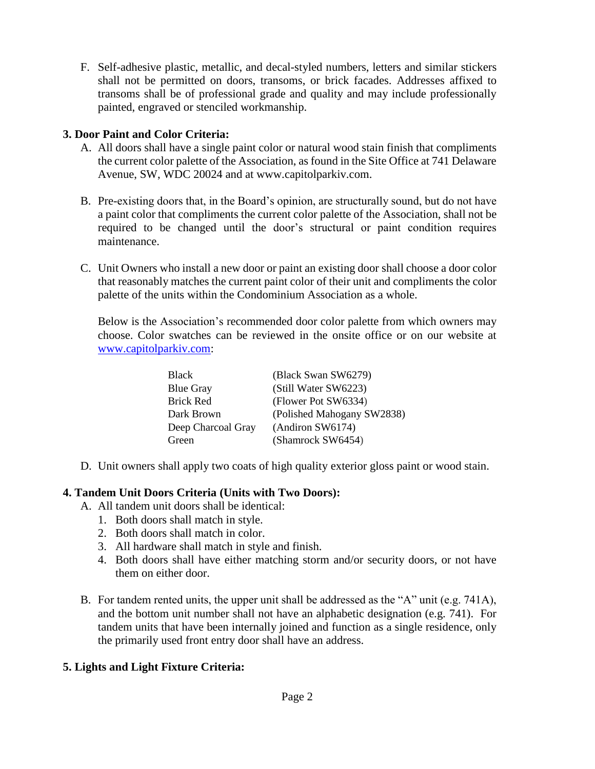F. Self-adhesive plastic, metallic, and decal-styled numbers, letters and similar stickers shall not be permitted on doors, transoms, or brick facades. Addresses affixed to transoms shall be of professional grade and quality and may include professionally painted, engraved or stenciled workmanship.

## **3. Door Paint and Color Criteria:**

- A. All doors shall have a single paint color or natural wood stain finish that compliments the current color palette of the Association, as found in the Site Office at 741 Delaware Avenue, SW, WDC 20024 and at www.capitolparkiv.com.
- B. Pre-existing doors that, in the Board's opinion, are structurally sound, but do not have a paint color that compliments the current color palette of the Association, shall not be required to be changed until the door's structural or paint condition requires maintenance.
- C. Unit Owners who install a new door or paint an existing door shall choose a door color that reasonably matches the current paint color of their unit and compliments the color palette of the units within the Condominium Association as a whole.

Below is the Association's recommended door color palette from which owners may choose. Color swatches can be reviewed in the onsite office or on our website at [www.capitolparkiv.com:](http://www.capitolparkiv.com/)

| <b>Black</b>       | (Black Swan SW6279)        |
|--------------------|----------------------------|
| <b>Blue Gray</b>   | (Still Water SW6223)       |
| <b>Brick Red</b>   | (Flower Pot SW6334)        |
| Dark Brown         | (Polished Mahogany SW2838) |
| Deep Charcoal Gray | (Andiron SW6174)           |
| Green              | (Shamrock SW6454)          |

D. Unit owners shall apply two coats of high quality exterior gloss paint or wood stain.

#### **4. Tandem Unit Doors Criteria (Units with Two Doors):**

- A. All tandem unit doors shall be identical:
	- 1. Both doors shall match in style.
	- 2. Both doors shall match in color.
	- 3. All hardware shall match in style and finish.
	- 4. Both doors shall have either matching storm and/or security doors, or not have them on either door.
- B. For tandem rented units, the upper unit shall be addressed as the "A" unit (e.g. 741A), and the bottom unit number shall not have an alphabetic designation (e.g. 741). For tandem units that have been internally joined and function as a single residence, only the primarily used front entry door shall have an address.

# **5. Lights and Light Fixture Criteria:**